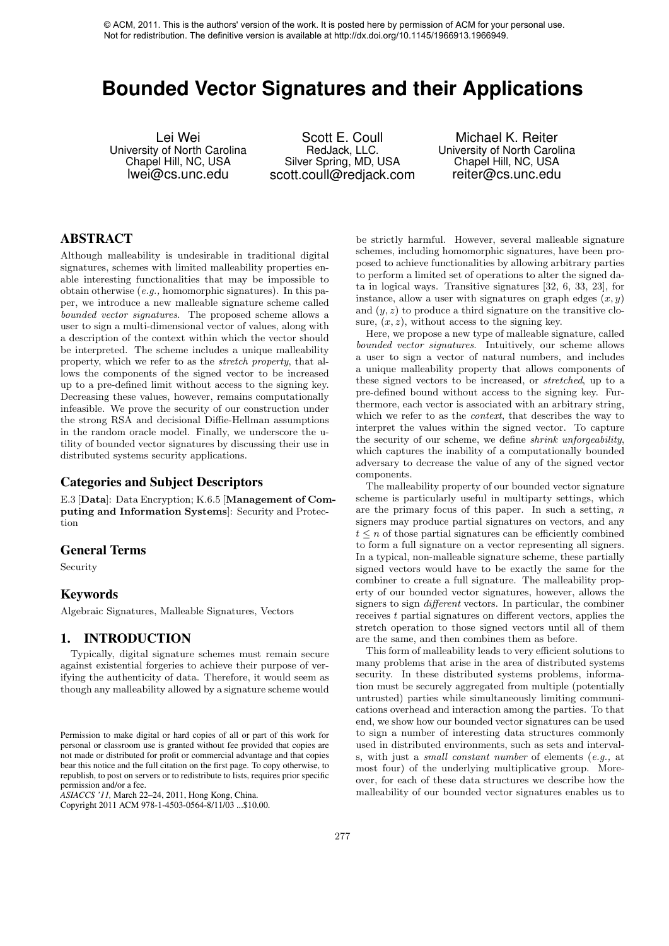# **Bounded Vector Signatures and their Applications**

Lei Wei University of North Carolina Chapel Hill, NC, USA lwei@cs.unc.edu

Scott E. Coull RedJack, LLC. Silver Spring, MD, USA scott.coull@redjack.com

Michael K. Reiter University of North Carolina Chapel Hill, NC, USA reiter@cs.unc.edu

# ABSTRACT

Although malleability is undesirable in traditional digital signatures, schemes with limited malleability properties enable interesting functionalities that may be impossible to obtain otherwise (*e.g.,* homomorphic signatures). In this paper, we introduce a new malleable signature scheme called *bounded vector signatures*. The proposed scheme allows a user to sign a multi-dimensional vector of values, along with a description of the context within which the vector should be interpreted. The scheme includes a unique malleability property, which we refer to as the *stretch property*, that allows the components of the signed vector to be increased up to a pre-defined limit without access to the signing key. Decreasing these values, however, remains computationally infeasible. We prove the security of our construction under the strong RSA and decisional Diffie-Hellman assumptions in the random oracle model. Finally, we underscore the utility of bounded vector signatures by discussing their use in distributed systems security applications.

### Categories and Subject Descriptors

E.3 [**Data**]: Data Encryption; K.6.5 [**Management of Computing and Information Systems**]: Security and Protection

### General Terms

Security

## Keywords

Algebraic Signatures, Malleable Signatures, Vectors

# 1. INTRODUCTION

Typically, digital signature schemes must remain secure against existential forgeries to achieve their purpose of verifying the authenticity of data. Therefore, it would seem as though any malleability allowed by a signature scheme would

*ASIACCS '11,* March 22–24, 2011, Hong Kong, China.

Copyright 2011 ACM 978-1-4503-0564-8/11/03 ...\$10.00.

be strictly harmful. However, several malleable signature schemes, including homomorphic signatures, have been proposed to achieve functionalities by allowing arbitrary parties to perform a limited set of operations to alter the signed data in logical ways. Transitive signatures [32, 6, 33, 23], for instance, allow a user with signatures on graph edges  $(x, y)$ and  $(y, z)$  to produce a third signature on the transitive closure,  $(x, z)$ , without access to the signing key.

Here, we propose a new type of malleable signature, called *bounded vector signatures*. Intuitively, our scheme allows a user to sign a vector of natural numbers, and includes a unique malleability property that allows components of these signed vectors to be increased, or *stretched*, up to a pre-defined bound without access to the signing key. Furthermore, each vector is associated with an arbitrary string, which we refer to as the *context*, that describes the way to interpret the values within the signed vector. To capture the security of our scheme, we define *shrink unforgeability*, which captures the inability of a computationally bounded adversary to decrease the value of any of the signed vector components.

The malleability property of our bounded vector signature scheme is particularly useful in multiparty settings, which are the primary focus of this paper. In such a setting, *n* signers may produce partial signatures on vectors, and any  $t \leq n$  of those partial signatures can be efficiently combined to form a full signature on a vector representing all signers. In a typical, non-malleable signature scheme, these partially signed vectors would have to be exactly the same for the combiner to create a full signature. The malleability property of our bounded vector signatures, however, allows the signers to sign *different* vectors. In particular, the combiner receives *t* partial signatures on different vectors, applies the stretch operation to those signed vectors until all of them are the same, and then combines them as before.

This form of malleability leads to very efficient solutions to many problems that arise in the area of distributed systems security. In these distributed systems problems, information must be securely aggregated from multiple (potentially untrusted) parties while simultaneously limiting communications overhead and interaction among the parties. To that end, we show how our bounded vector signatures can be used to sign a number of interesting data structures commonly used in distributed environments, such as sets and intervals, with just a *small constant number* of elements (*e.g.,* at most four) of the underlying multiplicative group. Moreover, for each of these data structures we describe how the malleability of our bounded vector signatures enables us to

Permission to make digital or hard copies of all or part of this work for personal or classroom use is granted without fee provided that copies are not made or distributed for profit or commercial advantage and that copies bear this notice and the full citation on the first page. To copy otherwise, to republish, to post on servers or to redistribute to lists, requires prior specific permission and/or a fee.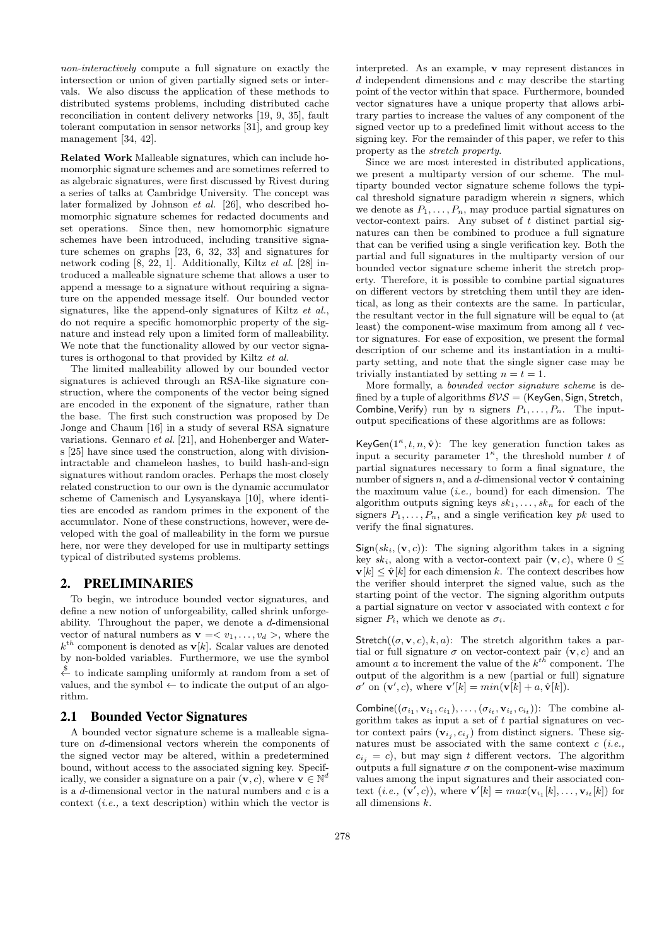*non-interactively* compute a full signature on exactly the intersection or union of given partially signed sets or intervals. We also discuss the application of these methods to distributed systems problems, including distributed cache reconciliation in content delivery networks [19, 9, 35], fault tolerant computation in sensor networks [31], and group key management [34, 42].

**Related Work** Malleable signatures, which can include homomorphic signature schemes and are sometimes referred to as algebraic signatures, were first discussed by Rivest during a series of talks at Cambridge University. The concept was later formalized by Johnson *et al.* [26], who described homomorphic signature schemes for redacted documents and set operations. Since then, new homomorphic signature schemes have been introduced, including transitive signature schemes on graphs [23, 6, 32, 33] and signatures for network coding [8, 22, 1]. Additionally, Kiltz *et al.* [28] introduced a malleable signature scheme that allows a user to append a message to a signature without requiring a signature on the appended message itself. Our bounded vector signatures, like the append-only signatures of Kiltz *et al.*, do not require a specific homomorphic property of the signature and instead rely upon a limited form of malleability. We note that the functionality allowed by our vector signatures is orthogonal to that provided by Kiltz *et al.*

The limited malleability allowed by our bounded vector signatures is achieved through an RSA-like signature construction, where the components of the vector being signed are encoded in the exponent of the signature, rather than the base. The first such construction was proposed by De Jonge and Chaum [16] in a study of several RSA signature variations. Gennaro *et al.* [21], and Hohenberger and Waters [25] have since used the construction, along with divisionintractable and chameleon hashes, to build hash-and-sign signatures without random oracles. Perhaps the most closely related construction to our own is the dynamic accumulator scheme of Camenisch and Lysyanskaya [10], where identities are encoded as random primes in the exponent of the accumulator. None of these constructions, however, were developed with the goal of malleability in the form we pursue here, nor were they developed for use in multiparty settings typical of distributed systems problems.

#### 2. PRELIMINARIES

To begin, we introduce bounded vector signatures, and define a new notion of unforgeability, called shrink unforgeability. Throughout the paper, we denote a *d*-dimensional vector of natural numbers as  $\mathbf{v} = \langle v_1, \ldots, v_d \rangle$ , where the  $k^{th}$  component is denoted as  $\mathbf{v}[k]$ . Scalar values are denoted by non-bolded variables. Furthermore, we use the symbol \$ *←* to indicate sampling uniformly at random from a set of values, and the symbol *←* to indicate the output of an algorithm.

## 2.1 Bounded Vector Signatures

A bounded vector signature scheme is a malleable signature on *d*-dimensional vectors wherein the components of the signed vector may be altered, within a predetermined bound, without access to the associated signing key. Specifically, we consider a signature on a pair  $(\mathbf{v}, c)$ , where  $\mathbf{v} \in \mathbb{N}^d$ is a *d*-dimensional vector in the natural numbers and *c* is a context (*i.e.,* a text description) within which the vector is

interpreted. As an example, **v** may represent distances in *d* independent dimensions and *c* may describe the starting point of the vector within that space. Furthermore, bounded vector signatures have a unique property that allows arbitrary parties to increase the values of any component of the signed vector up to a predefined limit without access to the signing key. For the remainder of this paper, we refer to this property as the *stretch property*.

Since we are most interested in distributed applications, we present a multiparty version of our scheme. The multiparty bounded vector signature scheme follows the typical threshold signature paradigm wherein *n* signers, which we denote as  $P_1, \ldots, P_n$ , may produce partial signatures on vector-context pairs. Any subset of  $\overrightarrow{t}$  distinct partial signatures can then be combined to produce a full signature that can be verified using a single verification key. Both the partial and full signatures in the multiparty version of our bounded vector signature scheme inherit the stretch property. Therefore, it is possible to combine partial signatures on different vectors by stretching them until they are identical, as long as their contexts are the same. In particular, the resultant vector in the full signature will be equal to (at least) the component-wise maximum from among all *t* vector signatures. For ease of exposition, we present the formal description of our scheme and its instantiation in a multiparty setting, and note that the single signer case may be trivially instantiated by setting  $n = t = 1$ .

More formally, a *bounded vector signature scheme* is defined by a tuple of algorithms  $\mathcal{BVS} =$  (KeyGen, Sign, Stretch, Combine, Verify) run by *n* signers  $P_1, \ldots, P_n$ . The inputoutput specifications of these algorithms are as follows:

KeyGen( $1^{\kappa}$ , *t*, *n*,  $\hat{\mathbf{v}}$ ): The key generation function takes as input a security parameter  $1^{\kappa}$ , the threshold number *t* of partial signatures necessary to form a final signature, the number of signers *n*, and a *d*-dimensional vector  $\hat{\mathbf{v}}$  containing the maximum value (*i.e.,* bound) for each dimension. The algorithm outputs signing keys  $sk_1, \ldots, sk_n$  for each of the signers  $P_1, \ldots, P_n$ , and a single verification key *pk* used to verify the final signatures.

 $Sign(sk_i, (v, c))$ : The signing algorithm takes in a signing key  $sk_i$ , along with a vector-context pair  $(\mathbf{v}, c)$ , where  $0 \leq$  $\mathbf{v}[k] \leq \hat{\mathbf{v}}[k]$  for each dimension *k*. The context describes how the verifier should interpret the signed value, such as the starting point of the vector. The signing algorithm outputs a partial signature on vector **v** associated with context *c* for signer  $P_i$ , which we denote as  $\sigma_i$ .

Stretch( $(\sigma, \mathbf{v}, c)$ , k, a): The stretch algorithm takes a partial or full signature  $\sigma$  on vector-context pair  $(\mathbf{v}, c)$  and an amount *a* to increment the value of the  $k^{t\bar{h}}$  component. The output of the algorithm is a new (partial or full) signature  $\sigma'$  on  $(\mathbf{v}', c)$ , where  $\mathbf{v}'[k] = min(\mathbf{v}[k] + a, \hat{\mathbf{v}}[k])$ .

Combine $((\sigma_{i_1}, \mathbf{v}_{i_1}, c_{i_1}), \ldots, (\sigma_{i_t}, \mathbf{v}_{i_t}, c_{i_t}))$ : The combine algorithm takes as input a set of *t* partial signatures on vector context pairs  $(\mathbf{v}_{i_j}, c_{i_j})$  from distinct signers. These signatures must be associated with the same context *c* (*i.e.,*  $c_{i_j} = c$ , but may sign *t* different vectors. The algorithm outputs a full signature  $\sigma$  on the component-wise maximum values among the input signatures and their associated context (*i.e.*,  $(\mathbf{v}', c)$ ), where  $\mathbf{v}'[k] = max(\mathbf{v}_{i_1}[k], \ldots, \mathbf{v}_{i_t}[k])$  for all dimensions *k*.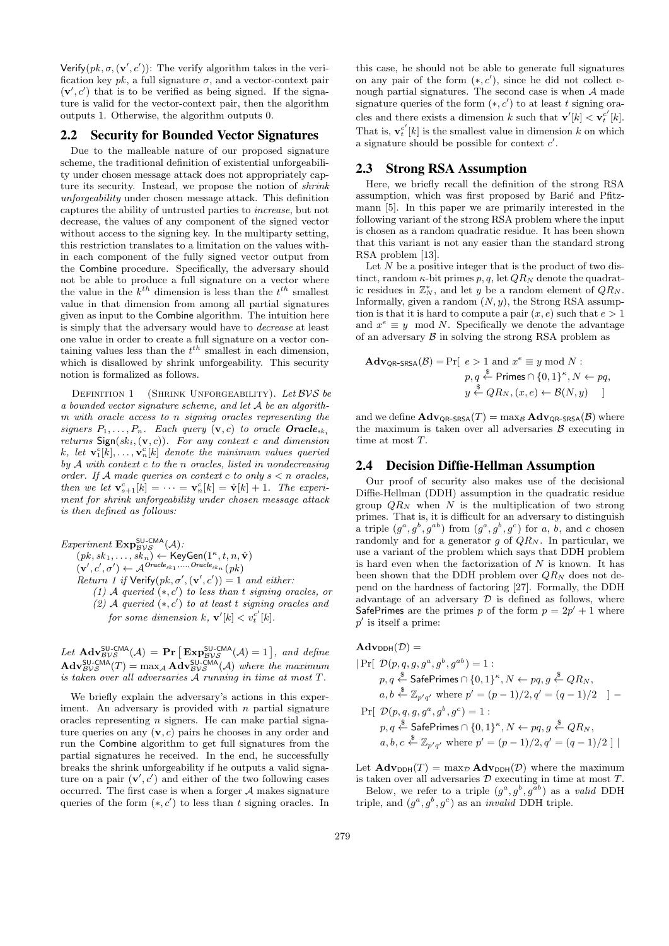Verify $(pk, \sigma, (\mathbf{v}', c'))$ : The verify algorithm takes in the verification key  $pk$ , a full signature  $\sigma$ , and a vector-context pair  $(v', c')$  that is to be verified as being signed. If the signature is valid for the vector-context pair, then the algorithm outputs 1. Otherwise, the algorithm outputs 0.

#### 2.2 Security for Bounded Vector Signatures

Due to the malleable nature of our proposed signature scheme, the traditional definition of existential unforgeability under chosen message attack does not appropriately capture its security. Instead, we propose the notion of *shrink unforgeability* under chosen message attack. This definition captures the ability of untrusted parties to *increase*, but not decrease, the values of any component of the signed vector without access to the signing key. In the multiparty setting, this restriction translates to a limitation on the values within each component of the fully signed vector output from the Combine procedure. Specifically, the adversary should not be able to produce a full signature on a vector where the value in the  $k^{th}$  dimension is less than the  $t^{th}$  smallest value in that dimension from among all partial signatures given as input to the Combine algorithm. The intuition here is simply that the adversary would have to *decrease* at least one value in order to create a full signature on a vector containing values less than the *t th* smallest in each dimension, which is disallowed by shrink unforgeability. This security notion is formalized as follows.

Definition 1 (Shrink Unforgeability). *Let BVS be a bounded vector signature scheme, and let A be an algorithm with oracle access to n signing oracles representing the signers*  $P_1, \ldots, P_n$ *. Each query*  $(\mathbf{v}, c)$  *to oracle Oracle<sub>ski</sub> returns* Sign(*ski,*(**v***, c*))*. For any context c and dimension*  $k$ *, let*  $\mathbf{v}_1^c[k], \ldots, \mathbf{v}_n^c[k]$  denote the minimum values queried *by A with context c to the n oracles, listed in nondecreasing order.* If A made queries on context c to only  $s < n$  oracles, *then we let*  $\mathbf{v}_{s+1}^c[k] = \cdots = \mathbf{v}_n^c[k] = \hat{\mathbf{v}}[k] + 1$ *. The experiment for shrink unforgeability under chosen message attack is then defined as follows:*

 $Experiment$   $\mathbf{Exp}_{\mathcal{BVS}}^{\mathsf{SU-CMA}}(\mathcal{A})$ :<br>  $(pk, sk_1, \ldots, sk_n) \leftarrow \mathsf{KeyGen}(1^{\kappa}, t, n, \hat{\mathbf{v}})$  $(\mathbf{v}', c', \sigma') \leftarrow \mathcal{A}^{\textit{Oracle}_{sk_1}, \ldots, \textit{Oracle}_{sk_n}}(pk)$ *Return 1 if*  $Verify(pk, \sigma', (\mathbf{v}', c')) = 1$  *and either: (1) A queried* (*∗, c′* ) *to less than t signing oracles, or (2) A queried* (*∗, c′* ) *to at least t signing oracles and* for some dimension  $k$ ,  $\mathbf{v}'[k] < v_t^{c'}[k]$ .

Let  $\mathbf{Adv}_{BVS}^{\mathsf{SU}\text{-}\mathsf{CMA}}(\mathcal{A}) = \mathbf{Pr}\left[\mathbf{Exp}_{BVS}^{\mathsf{SU}\text{-}\mathsf{CMA}}(\mathcal{A}) = 1\right]$ , and define  $\mathbf{Adv}_{\mathcal{BVS}}^{\mathsf{SU-CMA}}(T) = \max_{\mathcal{A}} \mathbf{Adv}_{\mathcal{BVS}}^{\mathsf{SU-CMA}}(\mathcal{A})$  where the maximum *is taken over all adversaries A running in time at most T.*

We briefly explain the adversary's actions in this experiment. An adversary is provided with *n* partial signature oracles representing *n* signers. He can make partial signature queries on any (**v***, c*) pairs he chooses in any order and run the Combine algorithm to get full signatures from the partial signatures he received. In the end, he successfully breaks the shrink unforgeability if he outputs a valid signature on a pair  $(v', c')$  and either of the two following cases occurred. The first case is when a forger *A* makes signature queries of the form (*∗, c′* ) to less than *t* signing oracles. In

this case, he should not be able to generate full signatures on any pair of the form (*∗, c′* ), since he did not collect enough partial signatures. The second case is when *A* made signature queries of the form (*∗, c′* ) to at least *t* signing oracles and there exists a dimension *k* such that  $\mathbf{v}'[k] < \mathbf{v}_t^{c'}[k]$ . That is,  $\mathbf{v}_t^{c'}[k]$  is the smallest value in dimension *k* on which a signature should be possible for context *c ′* .

### 2.3 Strong RSA Assumption

Here, we briefly recall the definition of the strong RSA assumption, which was first proposed by Barić and Pfitzmann [5]. In this paper we are primarily interested in the following variant of the strong RSA problem where the input is chosen as a random quadratic residue. It has been shown that this variant is not any easier than the standard strong RSA problem [13].

Let *N* be a positive integer that is the product of two distinct, random  $\kappa$ -bit primes  $p, q$ , let  $QR_N$  denote the quadratic residues in  $\mathbb{Z}_N^*$ , and let *y* be a random element of  $QR_N$ . Informally, given a random (*N, y*), the Strong RSA assumption is that it is hard to compute a pair  $(x, e)$  such that  $e > 1$ and  $x^e \equiv y \mod N$ . Specifically we denote the advantage of an adversary *B* in solving the strong RSA problem as

$$
\begin{aligned} \mathbf{Adv}_{\mathsf{QR-SRSA}}(\mathcal{B}) &= \Pr[ \ e > 1 \text{ and } x^e \equiv y \bmod N : \\ & p, q \stackrel{\$}{\leftarrow} \mathsf{Primes} \cap \{0, 1\}^\kappa, N \leftarrow pq, \\ & y \stackrel{\$}{\leftarrow} QR_N, (x, e) \leftarrow \mathcal{B}(N, y) \end{aligned}
$$

and we define  $\mathbf{Adv}_{QR\text{-SRSA}}(T) = \max_{\mathcal{B}} \mathbf{Adv}_{QR\text{-SRSA}}(\mathcal{B})$  where the maximum is taken over all adversaries *B* executing in time at most *T*.

## 2.4 Decision Diffie-Hellman Assumption

Our proof of security also makes use of the decisional Diffie-Hellman (DDH) assumption in the quadratic residue group  $QR_N$  when  $N$  is the multiplication of two strong primes. That is, it is difficult for an adversary to distinguish a triple  $(g^a, g^b, g^{ab})$  from  $(g^a, g^b, g^c)$  for *a*, *b*, and *c* chosen randomly and for a generator *g* of *QR<sup>N</sup>* . In particular, we use a variant of the problem which says that DDH problem is hard even when the factorization of *N* is known. It has been shown that the DDH problem over *QR<sup>N</sup>* does not depend on the hardness of factoring [27]. Formally, the DDH advantage of an adversary  $D$  is defined as follows, where SafePrimes are the primes p of the form  $p = 2p' + 1$  where *p ′* is itself a prime:

**Adv**<sub>DH</sub>(*D*) =  
\n|Pr[ 
$$
\mathcal{D}(p, q, g, g^a, g^b, g^{ab}) = 1
$$
:  
\n $p, q \stackrel{\$}{\leftarrow} \mathsf{SafePrimes} \cap \{0, 1\}^{\kappa}, N \leftarrow pq, g \stackrel{\$}{\leftarrow} QR_N,$   
\n $a, b \stackrel{\$}{\leftarrow} \mathbb{Z}_{p'q'}$  where  $p' = (p - 1)/2, q' = (q - 1)/2$  ] −  
\nPr[  $\mathcal{D}(p, q, g, g^a, g^b, g^c) = 1$ :  
\n $p, q \stackrel{\$}{\leftarrow} \mathsf{SafePrimes} \cap \{0, 1\}^{\kappa}, N \leftarrow pq, g \stackrel{\$}{\leftarrow} QR_N,$   
\n $a, b, c \stackrel{\$}{\leftarrow} \mathbb{Z}_{p'q'}$  where  $p' = (p - 1)/2, q' = (q - 1)/2$ ] |

Let  $\mathbf{Adv}_{\mathsf{DDH}}(T) = \max_{\mathcal{D}} \mathbf{Adv}_{\mathsf{DDH}}(\mathcal{D})$  where the maximum is taken over all adversaries *D* executing in time at most *T*.

Below, we refer to a triple  $(g^a, g^b, g^{ab})$  as a *valid* DDH triple, and  $(g^a, g^b, g^c)$  as an *invalid* DDH triple.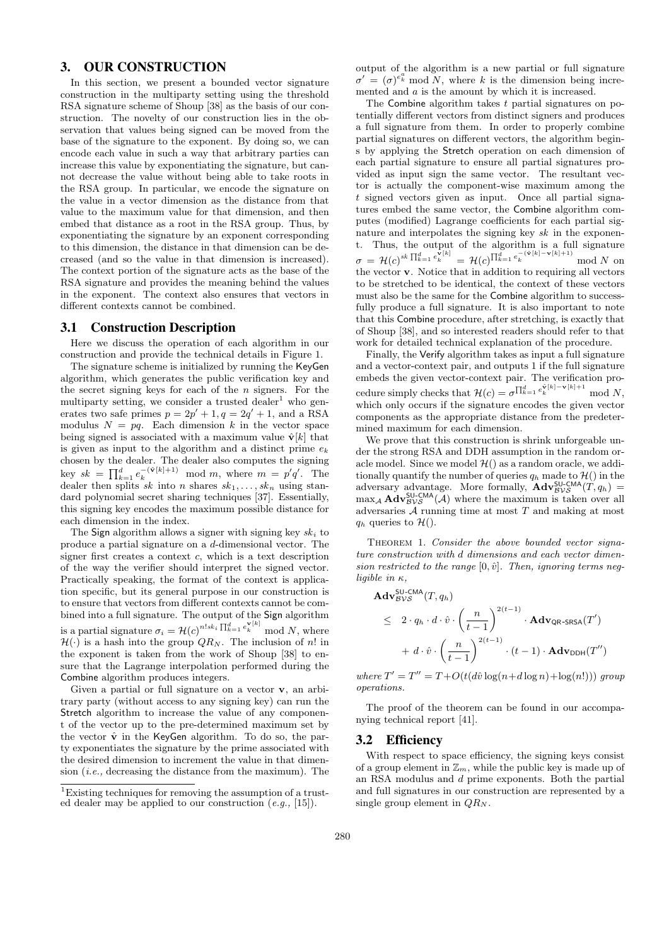# 3. OUR CONSTRUCTION

In this section, we present a bounded vector signature construction in the multiparty setting using the threshold RSA signature scheme of Shoup [38] as the basis of our construction. The novelty of our construction lies in the observation that values being signed can be moved from the base of the signature to the exponent. By doing so, we can encode each value in such a way that arbitrary parties can increase this value by exponentiating the signature, but cannot decrease the value without being able to take roots in the RSA group. In particular, we encode the signature on the value in a vector dimension as the distance from that value to the maximum value for that dimension, and then embed that distance as a root in the RSA group. Thus, by exponentiating the signature by an exponent corresponding to this dimension, the distance in that dimension can be decreased (and so the value in that dimension is increased). The context portion of the signature acts as the base of the RSA signature and provides the meaning behind the values in the exponent. The context also ensures that vectors in different contexts cannot be combined.

## 3.1 Construction Description

Here we discuss the operation of each algorithm in our construction and provide the technical details in Figure 1.

The signature scheme is initialized by running the KeyGen algorithm, which generates the public verification key and the secret signing keys for each of the *n* signers. For the multiparty setting, we consider a trusted dealer<sup>1</sup> who generates two safe primes  $p = 2p' + 1, q = 2q' + 1$ , and a RSA modulus  $N = pq$ . Each dimension k in the vector space being signed is associated with a maximum value  $\hat{\mathbf{v}}[k]$  that is given as input to the algorithm and a distinct prime *e<sup>k</sup>* chosen by the dealer. The dealer also computes the signing  $\log sk = \prod_{k=1}^{d} e_k^{-(\hat{\mathbf{v}}[k]+1)} \mod m$ , where  $m = p'q'$ . The dealer then splits  $sk$  into *n* shares  $sk_1, \ldots, sk_n$  using standard polynomial secret sharing techniques [37]. Essentially, this signing key encodes the maximum possible distance for each dimension in the index.

The Sign algorithm allows a signer with signing key *sk<sup>i</sup>* to produce a partial signature on a *d*-dimensional vector. The signer first creates a context *c*, which is a text description of the way the verifier should interpret the signed vector. Practically speaking, the format of the context is application specific, but its general purpose in our construction is to ensure that vectors from different contexts cannot be combined into a full signature. The output of the Sign algorithm is a partial signature  $\sigma_i = \mathcal{H}(c)^{n!sk_i} \prod_{k=1}^d e_k^{\mathbf{v}[k]} \mod N$ , where  $H(\cdot)$  is a hash into the group  $QR_N$ . The inclusion of *n*! in the exponent is taken from the work of Shoup [38] to ensure that the Lagrange interpolation performed during the Combine algorithm produces integers.

Given a partial or full signature on a vector **v**, an arbitrary party (without access to any signing key) can run the Stretch algorithm to increase the value of any component of the vector up to the pre-determined maximum set by the vector  $\hat{\mathbf{v}}$  in the KeyGen algorithm. To do so, the party exponentiates the signature by the prime associated with the desired dimension to increment the value in that dimension (*i.e.,* decreasing the distance from the maximum). The output of the algorithm is a new partial or full signature  $\sigma' = (\sigma)^{e_k^a}$  mod N, where *k* is the dimension being incremented and *a* is the amount by which it is increased.

The Combine algorithm takes *t* partial signatures on potentially different vectors from distinct signers and produces a full signature from them. In order to properly combine partial signatures on different vectors, the algorithm begins by applying the Stretch operation on each dimension of each partial signature to ensure all partial signatures provided as input sign the same vector. The resultant vector is actually the component-wise maximum among the *t* signed vectors given as input. Once all partial signatures embed the same vector, the Combine algorithm computes (modified) Lagrange coefficients for each partial signature and interpolates the signing key *sk* in the exponent. Thus, the output of the algorithm is a full signature  $\sigma = \mathcal{H}(c)^{sk} \prod_{k=1}^d e_k^{\mathbf{v}[k]} = \mathcal{H}(c)^{\prod_{k=1}^d e_k^{-(\hat{\mathbf{v}}[k] - \mathbf{v}[k]+1)}} \mod N$  on the vector **v**. Notice that in addition to requiring all vectors to be stretched to be identical, the context of these vectors must also be the same for the Combine algorithm to successfully produce a full signature. It is also important to note that this Combine procedure, after stretching, is exactly that of Shoup [38], and so interested readers should refer to that work for detailed technical explanation of the procedure.

Finally, the Verify algorithm takes as input a full signature and a vector-context pair, and outputs 1 if the full signature embeds the given vector-context pair. The verification procedure simply checks that  $\mathcal{H}(c) = \sigma^{\prod_{k=1}^{d} e_k^{\hat{\mathbf{v}}[k] - \mathbf{v}[k] + 1}}$  mod N, which only occurs if the signature encodes the given vector components as the appropriate distance from the predetermined maximum for each dimension.

We prove that this construction is shrink unforgeable under the strong RSA and DDH assumption in the random oracle model. Since we model  $\mathcal{H}$ () as a random oracle, we additionally quantify the number of queries  $q_h$  made to  $\mathcal{H}$ () in the adversary advantage. More formally,  $\mathbf{Adv}_{\mathcal{BVS}}^{\mathsf{SU-CMA}}(\mathcal{T}, q_h) =$  $\max_{A} \mathbf{Adv}_{\mathcal{BVS}}^{\mathsf{SU-CMA}}(\mathcal{A})$  where the maximum is taken over all adversaries *A* running time at most *T* and making at most  $q_h$  queries to  $\mathcal{H}$ .

THEOREM 1. *Consider the above bounded vector signature construction with d dimensions and each vector dimension restricted to the range*  $[0, \hat{v}]$ *. Then, ignoring terms negligible in κ,*

$$
\mathbf{Adv}_{\mathcal{BVS}}^{\mathsf{SU}\text{-}\mathsf{CMA}}(T, q_h)
$$
\n
$$
\leq 2 \cdot q_h \cdot d \cdot \hat{v} \cdot \left(\frac{n}{t-1}\right)^{2(t-1)} \cdot \mathbf{Adv}_{\mathsf{QR}\text{-}\mathsf{SRSA}}(T')
$$
\n
$$
+ d \cdot \hat{v} \cdot \left(\frac{n}{t-1}\right)^{2(t-1)} \cdot (t-1) \cdot \mathbf{Adv}_{\mathsf{DDH}}(T'')
$$

 $where T' = T'' = T + O(t(d\hat{v} \log(n+d \log n) + \log(n)))$  *group operations.*

The proof of the theorem can be found in our accompanying technical report [41].

### 3.2 Efficiency

With respect to space efficiency, the signing keys consist of a group element in  $\mathbb{Z}_m$ , while the public key is made up of an RSA modulus and *d* prime exponents. Both the partial and full signatures in our construction are represented by a single group element in *QR<sup>N</sup>* .

<sup>1</sup>Existing techniques for removing the assumption of a trusted dealer may be applied to our construction (*e.g.,* [15]).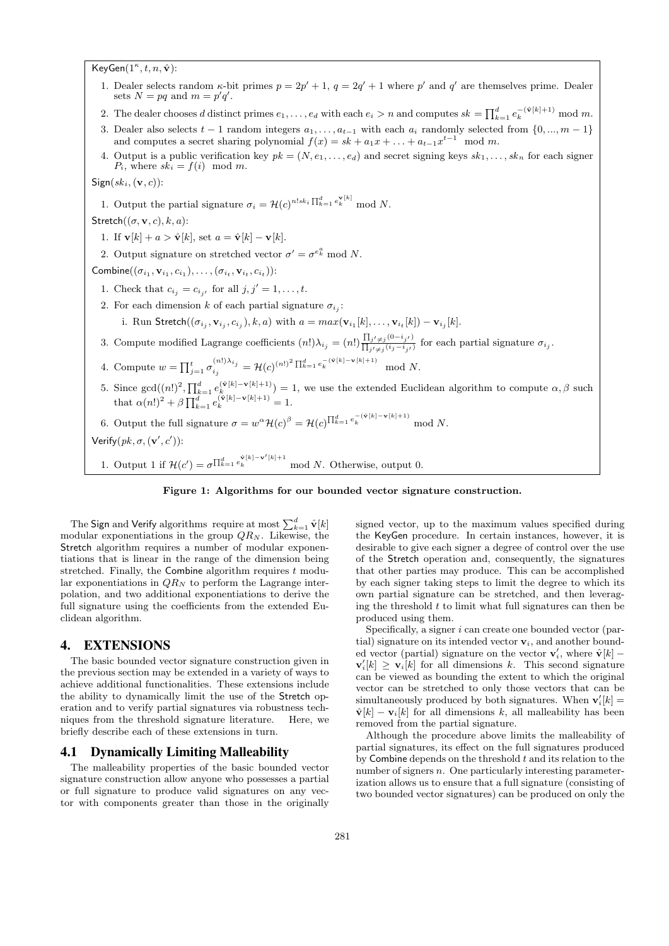$KeyGen(1^{\kappa}, t, n, \hat{\mathbf{v}})$ :

- 1. Dealer selects random *κ*-bit primes  $p = 2p' + 1$ ,  $q = 2q' + 1$  where p' and q' are themselves prime. Dealer sets  $N = pq$  and  $m = p'q'$ .
- 2. The dealer chooses d distinct primes  $e_1, \ldots, e_d$  with each  $e_i > n$  and computes  $sk = \prod_{k=1}^d e_k^{-(\hat{\mathbf{v}}[k]+1)}$  mod m.
- 3. Dealer also selects  $t 1$  random integers  $a_1, \ldots, a_{t-1}$  with each  $a_i$  randomly selected from  $\{0, \ldots, m-1\}$ and computes a secret sharing polynomial  $f(x) = sk + a_1x + \ldots + a_{t-1}x^{t-1} \mod m$ .
- 4. Output is a public verification key  $pk = (N, e_1, \ldots, e_d)$  and secret signing keys  $sk_1, \ldots, sk_n$  for each signer  $P_i$ , where  $s\hat{k_i} = f(i) \mod m$ .

 $Sign(sk_i, (\mathbf{v}, c))$ :

1. Output the partial signature  $\sigma_i = \mathcal{H}(c)^{n!sk_i} \prod_{k=1}^d e_k^{V[k]} \mod N$ .

Stretch $((\sigma, \mathbf{v}, c), k, a)$ :

1. If  $\mathbf{v}[k] + a > \hat{\mathbf{v}}[k]$ , set  $a = \hat{\mathbf{v}}[k] - \mathbf{v}[k]$ .

2. Output signature on stretched vector  $\sigma' = \sigma^{e_k^a} \mod N$ .

 $\mathsf{Combine}((\sigma_{i_1}, \mathbf{v}_{i_1}, c_{i_1}), \ldots, (\sigma_{i_t}, \mathbf{v}_{i_t}, c_{i_t}))$ :

- 1. Check that  $c_{i_j} = c_{i_{j'}}$  for all  $j, j' = 1, ..., t$ .
- 2. For each dimension *k* of each partial signature  $\sigma_{i_j}$ :

i. Run Stretch $((\sigma_{i_j},\mathbf{v}_{i_j},c_{i_j}),k,a)$  with  $a=max(\mathbf{v}_{i_1}[k],\ldots,\mathbf{v}_{i_t}[k])-\mathbf{v}_{i_j}[k].$ 

- 3. Compute modified Lagrange coefficients  $(n!) \lambda_{i_j} = (n!) \frac{\prod_{j' \neq j} (0 i_{j'})}{\prod_{j' \neq j} (i_j i_{j'})}$  for each partial signature  $\sigma_{i_j}$ .
- 4. Compute  $w = \prod_{j=1}^t \sigma_{i_j}^{(n!) \lambda_{i_j}} = \mathcal{H}(c)^{(n!)^2 \prod_{k=1}^d e_k^{-(\hat{\mathbf{v}}[k] \mathbf{v}[k]+1)}} \mod N$ .
- 5. Since gcd((n!)<sup>2</sup>,  $\prod_{k=1}^{d} e_k^{(\hat{\mathbf{v}}[k]-\mathbf{v}[k]+1)}$ ) = 1, we use the extended Euclidean algorithm to compute *α, β* such that  $\alpha(n!)^2 + \beta \prod_{k=1}^d e_k^{(\hat{\mathbf{v}}[k] - \mathbf{v}[k]+1)} = 1.$
- 6. Output the full signature  $\sigma = w^{\alpha} \mathcal{H}(c)^{\beta} = \mathcal{H}(c)^{\prod_{k=1}^{d} e_k^{-\left(\hat{\mathbf{v}}[k]-\mathbf{v}[k]+1\right)}} \mod N$ .

 $\mathsf{Verify}(pk, \sigma, (\mathbf{v}', c')).$ 

1. Output 1 if  $\mathcal{H}(c') = \sigma^{\prod_{k=1}^{d} e_k^{\hat{\mathbf{v}}[k] - \mathbf{v}'[k]+1}}$  mod *N*. Otherwise, output 0.

#### **Figure 1: Algorithms for our bounded vector signature construction.**

The Sign and Verify algorithms require at most  $\sum_{k=1}^d \hat{\mathbf{v}}[k]$ modular exponentiations in the group  $QR_N$ . Likewise, the Stretch algorithm requires a number of modular exponentiations that is linear in the range of the dimension being stretched. Finally, the Combine algorithm requires *t* modular exponentiations in *QR<sup>N</sup>* to perform the Lagrange interpolation, and two additional exponentiations to derive the full signature using the coefficients from the extended Euclidean algorithm.

### 4. EXTENSIONS

The basic bounded vector signature construction given in the previous section may be extended in a variety of ways to achieve additional functionalities. These extensions include the ability to dynamically limit the use of the Stretch operation and to verify partial signatures via robustness techniques from the threshold signature literature. Here, we briefly describe each of these extensions in turn.

#### 4.1 Dynamically Limiting Malleability

The malleability properties of the basic bounded vector signature construction allow anyone who possesses a partial or full signature to produce valid signatures on any vector with components greater than those in the originally signed vector, up to the maximum values specified during the KeyGen procedure. In certain instances, however, it is desirable to give each signer a degree of control over the use of the Stretch operation and, consequently, the signatures that other parties may produce. This can be accomplished by each signer taking steps to limit the degree to which its own partial signature can be stretched, and then leveraging the threshold *t* to limit what full signatures can then be produced using them.

Specifically, a signer *i* can create one bounded vector (partial) signature on its intended vector  $v_i$ , and another bounded vector (partial) signature on the vector  $\mathbf{v}'_i$ , where  $\hat{\mathbf{v}}[k]$  –  $\mathbf{v}'_i[k] \geq \mathbf{v}_i[k]$  for all dimensions *k*. This second signature can be viewed as bounding the extent to which the original vector can be stretched to only those vectors that can be simultaneously produced by both signatures. When  $\mathbf{v}'_i[k] =$  $\hat{\mathbf{v}}[k] - \mathbf{v}_i[k]$  for all dimensions *k*, all malleability has been removed from the partial signature.

Although the procedure above limits the malleability of partial signatures, its effect on the full signatures produced by Combine depends on the threshold *t* and its relation to the number of signers *n*. One particularly interesting parameterization allows us to ensure that a full signature (consisting of two bounded vector signatures) can be produced on only the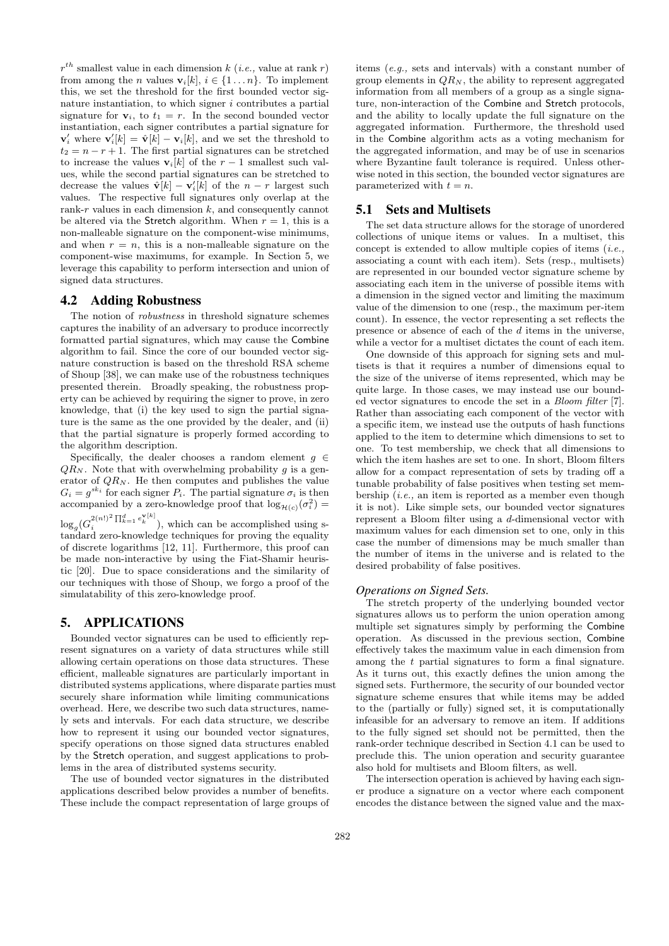$r^{th}$  smallest value in each dimension  $k$  (*i.e.*, value at rank *r*) from among the *n* values  $\mathbf{v}_i[k], i \in \{1 \dots n\}$ . To implement this, we set the threshold for the first bounded vector signature instantiation, to which signer *i* contributes a partial signature for  $\mathbf{v}_i$ , to  $t_1 = r$ . In the second bounded vector instantiation, each signer contributes a partial signature for  $\mathbf{v}'_i$  where  $\mathbf{v}'_i[k] = \hat{\mathbf{v}}[k] - \mathbf{v}_i[k]$ , and we set the threshold to  $t_2 = n - r + 1$ . The first partial signatures can be stretched to increase the values  $\mathbf{v}_i[k]$  of the  $r-1$  smallest such values, while the second partial signatures can be stretched to decrease the values  $\hat{\mathbf{v}}[k] - \mathbf{v}'_i[k]$  of the  $n - r$  largest such values. The respective full signatures only overlap at the rank-*r* values in each dimension *k*, and consequently cannot be altered via the **Stretch** algorithm. When  $r = 1$ , this is a non-malleable signature on the component-wise minimums, and when  $r = n$ , this is a non-malleable signature on the component-wise maximums, for example. In Section 5, we leverage this capability to perform intersection and union of signed data structures.

## 4.2 Adding Robustness

The notion of *robustness* in threshold signature schemes captures the inability of an adversary to produce incorrectly formatted partial signatures, which may cause the Combine algorithm to fail. Since the core of our bounded vector signature construction is based on the threshold RSA scheme of Shoup [38], we can make use of the robustness techniques presented therein. Broadly speaking, the robustness property can be achieved by requiring the signer to prove, in zero knowledge, that (i) the key used to sign the partial signature is the same as the one provided by the dealer, and (ii) that the partial signature is properly formed according to the algorithm description.

Specifically, the dealer chooses a random element  $q \in$ *QR<sup>N</sup>* . Note that with overwhelming probability *g* is a generator of *QR<sup>N</sup>* . He then computes and publishes the value  $G_i = g^{sk_i}$  for each signer  $P_i$ . The partial signature  $\sigma_i$  is then accompanied by a zero-knowledge proof that  $\log_{\mathcal{H}(c)}(\sigma_i^2)$  $\log_g(G_i^{2(n!)^2} \prod_{k=1}^d e_k^{\mathbf{v}[k]})$ , which can be accomplished using standard zero-knowledge techniques for proving the equality of discrete logarithms [12, 11]. Furthermore, this proof can be made non-interactive by using the Fiat-Shamir heuristic [20]. Due to space considerations and the similarity of our techniques with those of Shoup, we forgo a proof of the simulatability of this zero-knowledge proof.

## 5. APPLICATIONS

Bounded vector signatures can be used to efficiently represent signatures on a variety of data structures while still allowing certain operations on those data structures. These efficient, malleable signatures are particularly important in distributed systems applications, where disparate parties must securely share information while limiting communications overhead. Here, we describe two such data structures, namely sets and intervals. For each data structure, we describe how to represent it using our bounded vector signatures, specify operations on those signed data structures enabled by the Stretch operation, and suggest applications to problems in the area of distributed systems security.

The use of bounded vector signatures in the distributed applications described below provides a number of benefits. These include the compact representation of large groups of items (*e.g.,* sets and intervals) with a constant number of group elements in *QR<sup>N</sup>* , the ability to represent aggregated information from all members of a group as a single signature, non-interaction of the Combine and Stretch protocols, and the ability to locally update the full signature on the aggregated information. Furthermore, the threshold used in the Combine algorithm acts as a voting mechanism for the aggregated information, and may be of use in scenarios where Byzantine fault tolerance is required. Unless otherwise noted in this section, the bounded vector signatures are parameterized with  $t = n$ .

#### 5.1 Sets and Multisets

The set data structure allows for the storage of unordered collections of unique items or values. In a multiset, this concept is extended to allow multiple copies of items (*i.e.,* associating a count with each item). Sets (resp., multisets) are represented in our bounded vector signature scheme by associating each item in the universe of possible items with a dimension in the signed vector and limiting the maximum value of the dimension to one (resp., the maximum per-item count). In essence, the vector representing a set reflects the presence or absence of each of the *d* items in the universe, while a vector for a multiset dictates the count of each item.

One downside of this approach for signing sets and multisets is that it requires a number of dimensions equal to the size of the universe of items represented, which may be quite large. In those cases, we may instead use our bounded vector signatures to encode the set in a *Bloom filter* [7]. Rather than associating each component of the vector with a specific item, we instead use the outputs of hash functions applied to the item to determine which dimensions to set to one. To test membership, we check that all dimensions to which the item hashes are set to one. In short, Bloom filters allow for a compact representation of sets by trading off a tunable probability of false positives when testing set membership (*i.e.,* an item is reported as a member even though it is not). Like simple sets, our bounded vector signatures represent a Bloom filter using a *d*-dimensional vector with maximum values for each dimension set to one, only in this case the number of dimensions may be much smaller than the number of items in the universe and is related to the desired probability of false positives.

#### *Operations on Signed Sets.*

The stretch property of the underlying bounded vector signatures allows us to perform the union operation among multiple set signatures simply by performing the Combine operation. As discussed in the previous section, Combine effectively takes the maximum value in each dimension from among the *t* partial signatures to form a final signature. As it turns out, this exactly defines the union among the signed sets. Furthermore, the security of our bounded vector signature scheme ensures that while items may be added to the (partially or fully) signed set, it is computationally infeasible for an adversary to remove an item. If additions to the fully signed set should not be permitted, then the rank-order technique described in Section 4.1 can be used to preclude this. The union operation and security guarantee also hold for multisets and Bloom filters, as well.

The intersection operation is achieved by having each signer produce a signature on a vector where each component encodes the distance between the signed value and the max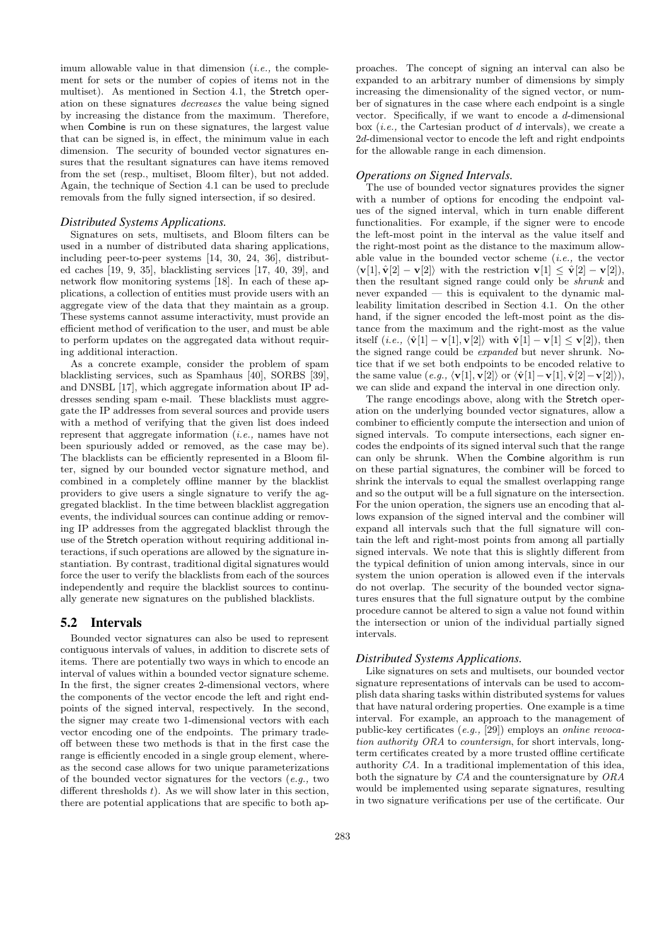imum allowable value in that dimension (*i.e.,* the complement for sets or the number of copies of items not in the multiset). As mentioned in Section 4.1, the Stretch operation on these signatures *decreases* the value being signed by increasing the distance from the maximum. Therefore, when Combine is run on these signatures, the largest value that can be signed is, in effect, the minimum value in each dimension. The security of bounded vector signatures ensures that the resultant signatures can have items removed from the set (resp., multiset, Bloom filter), but not added. Again, the technique of Section 4.1 can be used to preclude removals from the fully signed intersection, if so desired.

#### *Distributed Systems Applications.*

Signatures on sets, multisets, and Bloom filters can be used in a number of distributed data sharing applications, including peer-to-peer systems [14, 30, 24, 36], distributed caches [19, 9, 35], blacklisting services [17, 40, 39], and network flow monitoring systems [18]. In each of these applications, a collection of entities must provide users with an aggregate view of the data that they maintain as a group. These systems cannot assume interactivity, must provide an efficient method of verification to the user, and must be able to perform updates on the aggregated data without requiring additional interaction.

As a concrete example, consider the problem of spam blacklisting services, such as Spamhaus [40], SORBS [39], and DNSBL [17], which aggregate information about IP addresses sending spam e-mail. These blacklists must aggregate the IP addresses from several sources and provide users with a method of verifying that the given list does indeed represent that aggregate information (*i.e.,* names have not been spuriously added or removed, as the case may be). The blacklists can be efficiently represented in a Bloom filter, signed by our bounded vector signature method, and combined in a completely offline manner by the blacklist providers to give users a single signature to verify the aggregated blacklist. In the time between blacklist aggregation events, the individual sources can continue adding or removing IP addresses from the aggregated blacklist through the use of the Stretch operation without requiring additional interactions, if such operations are allowed by the signature instantiation. By contrast, traditional digital signatures would force the user to verify the blacklists from each of the sources independently and require the blacklist sources to continually generate new signatures on the published blacklists.

### 5.2 Intervals

Bounded vector signatures can also be used to represent contiguous intervals of values, in addition to discrete sets of items. There are potentially two ways in which to encode an interval of values within a bounded vector signature scheme. In the first, the signer creates 2-dimensional vectors, where the components of the vector encode the left and right endpoints of the signed interval, respectively. In the second, the signer may create two 1-dimensional vectors with each vector encoding one of the endpoints. The primary tradeoff between these two methods is that in the first case the range is efficiently encoded in a single group element, whereas the second case allows for two unique parameterizations of the bounded vector signatures for the vectors (*e.g.,* two different thresholds *t*). As we will show later in this section, there are potential applications that are specific to both ap-

proaches. The concept of signing an interval can also be expanded to an arbitrary number of dimensions by simply increasing the dimensionality of the signed vector, or number of signatures in the case where each endpoint is a single vector. Specifically, if we want to encode a *d*-dimensional box (*i.e.,* the Cartesian product of *d* intervals), we create a 2*d*-dimensional vector to encode the left and right endpoints for the allowable range in each dimension.

#### *Operations on Signed Intervals.*

The use of bounded vector signatures provides the signer with a number of options for encoding the endpoint values of the signed interval, which in turn enable different functionalities. For example, if the signer were to encode the left-most point in the interval as the value itself and the right-most point as the distance to the maximum allowable value in the bounded vector scheme (*i.e.,* the vector  $\langle \mathbf{v}[1], \hat{\mathbf{v}}[2] - \mathbf{v}[2] \rangle$  with the restriction  $\mathbf{v}[1] \leq \hat{\mathbf{v}}[2] - \mathbf{v}[2]$ ), then the resultant signed range could only be *shrunk* and never expanded — this is equivalent to the dynamic malleability limitation described in Section 4.1. On the other hand, if the signer encoded the left-most point as the distance from the maximum and the right-most as the value itself (*i.e.*,  $\langle \hat{\mathbf{v}}[1] - \mathbf{v}[1], \mathbf{v}[2] \rangle$  with  $\hat{\mathbf{v}}[1] - \mathbf{v}[1] \leq \mathbf{v}[2]$ ), then the signed range could be *expanded* but never shrunk. Notice that if we set both endpoints to be encoded relative to the same value  $(e.g., \langle \mathbf{v}[1], \mathbf{v}[2] \rangle)$  or  $\langle \hat{\mathbf{v}}[1] - \mathbf{v}[1], \hat{\mathbf{v}}[2] - \mathbf{v}[2] \rangle$ ), we can slide and expand the interval in one direction only.

The range encodings above, along with the Stretch operation on the underlying bounded vector signatures, allow a combiner to efficiently compute the intersection and union of signed intervals. To compute intersections, each signer encodes the endpoints of its signed interval such that the range can only be shrunk. When the Combine algorithm is run on these partial signatures, the combiner will be forced to shrink the intervals to equal the smallest overlapping range and so the output will be a full signature on the intersection. For the union operation, the signers use an encoding that allows expansion of the signed interval and the combiner will expand all intervals such that the full signature will contain the left and right-most points from among all partially signed intervals. We note that this is slightly different from the typical definition of union among intervals, since in our system the union operation is allowed even if the intervals do not overlap. The security of the bounded vector signatures ensures that the full signature output by the combine procedure cannot be altered to sign a value not found within the intersection or union of the individual partially signed intervals.

### *Distributed Systems Applications.*

Like signatures on sets and multisets, our bounded vector signature representations of intervals can be used to accomplish data sharing tasks within distributed systems for values that have natural ordering properties. One example is a time interval. For example, an approach to the management of public-key certificates (*e.g.,* [29]) employs an *online revocation authority ORA* to *countersign*, for short intervals, longterm certificates created by a more trusted offline certificate authority *CA*. In a traditional implementation of this idea, both the signature by *CA* and the countersignature by *ORA* would be implemented using separate signatures, resulting in two signature verifications per use of the certificate. Our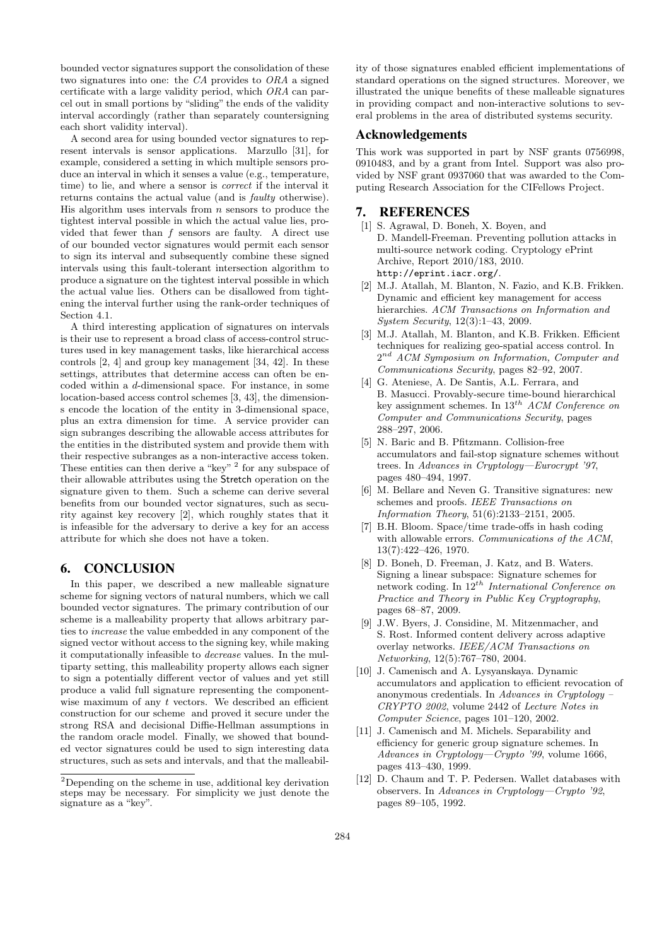bounded vector signatures support the consolidation of these two signatures into one: the *CA* provides to *ORA* a signed certificate with a large validity period, which *ORA* can parcel out in small portions by "sliding" the ends of the validity interval accordingly (rather than separately countersigning each short validity interval).

A second area for using bounded vector signatures to represent intervals is sensor applications. Marzullo [31], for example, considered a setting in which multiple sensors produce an interval in which it senses a value (e.g., temperature, time) to lie, and where a sensor is *correct* if the interval it returns contains the actual value (and is *faulty* otherwise). His algorithm uses intervals from *n* sensors to produce the tightest interval possible in which the actual value lies, provided that fewer than *f* sensors are faulty. A direct use of our bounded vector signatures would permit each sensor to sign its interval and subsequently combine these signed intervals using this fault-tolerant intersection algorithm to produce a signature on the tightest interval possible in which the actual value lies. Others can be disallowed from tightening the interval further using the rank-order techniques of Section 4.1.

A third interesting application of signatures on intervals is their use to represent a broad class of access-control structures used in key management tasks, like hierarchical access controls [2, 4] and group key management [34, 42]. In these settings, attributes that determine access can often be encoded within a *d*-dimensional space. For instance, in some location-based access control schemes [3, 43], the dimensions encode the location of the entity in 3-dimensional space, plus an extra dimension for time. A service provider can sign subranges describing the allowable access attributes for the entities in the distributed system and provide them with their respective subranges as a non-interactive access token. These entities can then derive a "key" <sup>2</sup> for any subspace of their allowable attributes using the Stretch operation on the signature given to them. Such a scheme can derive several benefits from our bounded vector signatures, such as security against key recovery [2], which roughly states that it is infeasible for the adversary to derive a key for an access attribute for which she does not have a token.

## 6. CONCLUSION

In this paper, we described a new malleable signature scheme for signing vectors of natural numbers, which we call bounded vector signatures. The primary contribution of our scheme is a malleability property that allows arbitrary parties to *increase* the value embedded in any component of the signed vector without access to the signing key, while making it computationally infeasible to *decrease* values. In the multiparty setting, this malleability property allows each signer to sign a potentially different vector of values and yet still produce a valid full signature representing the componentwise maximum of any *t* vectors. We described an efficient construction for our scheme and proved it secure under the strong RSA and decisional Diffie-Hellman assumptions in the random oracle model. Finally, we showed that bounded vector signatures could be used to sign interesting data structures, such as sets and intervals, and that the malleability of those signatures enabled efficient implementations of standard operations on the signed structures. Moreover, we illustrated the unique benefits of these malleable signatures in providing compact and non-interactive solutions to several problems in the area of distributed systems security.

### Acknowledgements

This work was supported in part by NSF grants 0756998, 0910483, and by a grant from Intel. Support was also provided by NSF grant 0937060 that was awarded to the Computing Research Association for the CIFellows Project.

## 7. REFERENCES

- [1] S. Agrawal, D. Boneh, X. Boyen, and D. Mandell-Freeman. Preventing pollution attacks in multi-source network coding. Cryptology ePrint Archive, Report 2010/183, 2010. http://eprint.iacr.org/.
- [2] M.J. Atallah, M. Blanton, N. Fazio, and K.B. Frikken. Dynamic and efficient key management for access hierarchies. *ACM Transactions on Information and System Security*, 12(3):1–43, 2009.
- [3] M.J. Atallah, M. Blanton, and K.B. Frikken. Efficient techniques for realizing geo-spatial access control. In 2 *nd ACM Symposium on Information, Computer and Communications Security*, pages 82–92, 2007.
- [4] G. Ateniese, A. De Santis, A.L. Ferrara, and B. Masucci. Provably-secure time-bound hierarchical key assignment schemes. In 13*th ACM Conference on Computer and Communications Security*, pages 288–297, 2006.
- [5] N. Baric and B. Pfitzmann. Collision-free accumulators and fail-stop signature schemes without trees. In *Advances in Cryptology—Eurocrypt '97*, pages 480–494, 1997.
- [6] M. Bellare and Neven G. Transitive signatures: new schemes and proofs. *IEEE Transactions on Information Theory*, 51(6):2133–2151, 2005.
- [7] B.H. Bloom. Space/time trade-offs in hash coding with allowable errors. *Communications of the ACM*, 13(7):422–426, 1970.
- [8] D. Boneh, D. Freeman, J. Katz, and B. Waters. Signing a linear subspace: Signature schemes for network coding. In 12*th International Conference on Practice and Theory in Public Key Cryptography*, pages 68–87, 2009.
- [9] J.W. Byers, J. Considine, M. Mitzenmacher, and S. Rost. Informed content delivery across adaptive overlay networks. *IEEE/ACM Transactions on Networking*, 12(5):767–780, 2004.
- [10] J. Camenisch and A. Lysyanskaya. Dynamic accumulators and application to efficient revocation of anonymous credentials. In *Advances in Cryptology – CRYPTO 2002*, volume 2442 of *Lecture Notes in Computer Science*, pages 101–120, 2002.
- [11] J. Camenisch and M. Michels. Separability and efficiency for generic group signature schemes. In *Advances in Cryptology—Crypto '99*, volume 1666, pages 413–430, 1999.
- [12] D. Chaum and T. P. Pedersen. Wallet databases with observers. In *Advances in Cryptology—Crypto '92*, pages 89–105, 1992.

<sup>2</sup>Depending on the scheme in use, additional key derivation steps may be necessary. For simplicity we just denote the signature as a "key".